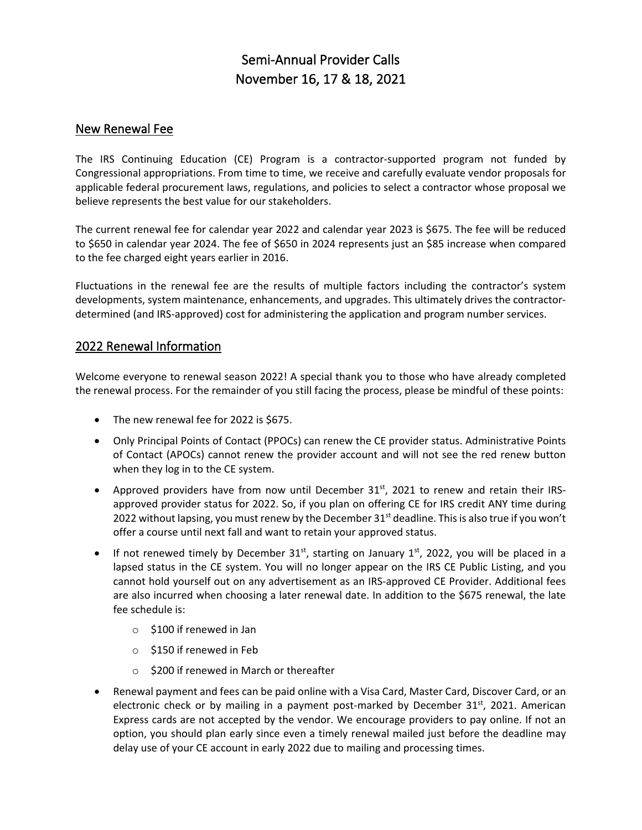# Semi-Annual Provider Calls November 16, 17 & 18, 2021

### New Renewal Fee

The IRS Continuing Education (CE) Program is a contractor-supported program not funded by Congressional appropriations. From time to time, we receive and carefully evaluate vendor proposals for applicable federal procurement laws, regulations, and policies to select a contractor whose proposal we believe represents the best value for our stakeholders.

The current renewal fee for calendar year 2022 and calendar year 2023 is \$675. The fee will be reduced to \$650 in calendar year 2024. The fee of \$650 in 2024 represents just an \$85 increase when compared to the fee charged eight years earlier in 2016.

Fluctuations in the renewal fee are the results of multiple factors including the contractor's system developments, system maintenance, enhancements, and upgrades. This ultimately drives the contractordetermined (and IRS-approved) cost for administering the application and program number services.

### 2022 Renewal Information

Welcome everyone to renewal season 2022! A special thank you to those who have already completed the renewal process. For the remainder of you still facing the process, please be mindful of these points:

- The new renewal fee for 2022 is \$675.
- Only Principal Points of Contact (PPOCs) can renew the CE provider status. Administrative Points of Contact (APOCs) cannot renew the provider account and will not see the red renew button when they log in to the CE system.
- Approved providers have from now until December  $31<sup>st</sup>$ , 2021 to renew and retain their IRSapproved provider status for 2022. So, if you plan on offering CE for IRS credit ANY time during 2022 without lapsing, you must renew by the December  $31<sup>st</sup>$  deadline. This is also true if you won't offer a course until next fall and want to retain your approved status.
- If not renewed timely by December 31<sup>st</sup>, starting on January 1<sup>st</sup>, 2022, you will be placed in a lapsed status in the CE system. You will no longer appear on the IRS CE Public Listing, and you cannot hold yourself out on any advertisement as an IRS-approved CE Provider. Additional fees are also incurred when choosing a later renewal date. In addition to the \$675 renewal, the late fee schedule is:
	- o \$100 if renewed in Jan
	- o \$150 if renewed in Feb
	- o \$200 if renewed in March or thereafter
- Renewal payment and fees can be paid online with a Visa Card, Master Card, Discover Card, or an electronic check or by mailing in a payment post-marked by December  $31^{st}$ , 2021. American Express cards are not accepted by the vendor. We encourage providers to pay online. If not an option, you should plan early since even a timely renewal mailed just before the deadline may delay use of your CE account in early 2022 due to mailing and processing times.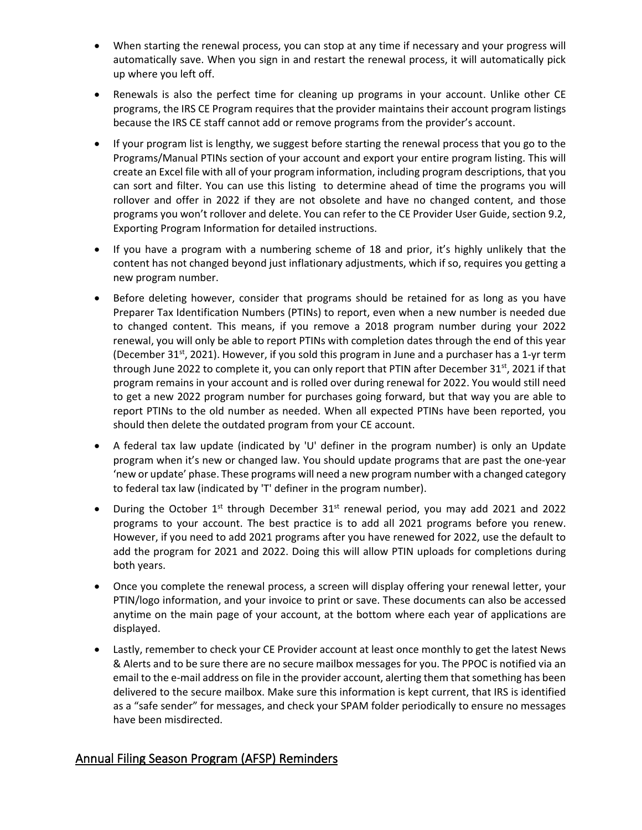- When starting the renewal process, you can stop at any time if necessary and your progress will automatically save. When you sign in and restart the renewal process, it will automatically pick up where you left off.
- Renewals is also the perfect time for cleaning up programs in your account. Unlike other CE programs, the IRS CE Program requires that the provider maintains their account program listings because the IRS CE staff cannot add or remove programs from the provider's account.
- If your program list is lengthy, we suggest before starting the renewal process that you go to the Programs/Manual PTINs section of your account and export your entire program listing. This will create an Excel file with all of your program information, including program descriptions, that you can sort and filter. You can use this listing to determine ahead of time the programs you will rollover and offer in 2022 if they are not obsolete and have no changed content, and those programs you won't rollover and delete. You can refer to the CE Provider User Guide, section 9.2, Exporting Program Information for detailed instructions.
- If you have a program with a numbering scheme of 18 and prior, it's highly unlikely that the content has not changed beyond just inflationary adjustments, which if so, requires you getting a new program number.
- Before deleting however, consider that programs should be retained for as long as you have Preparer Tax Identification Numbers (PTINs) to report, even when a new number is needed due to changed content. This means, if you remove a 2018 program number during your 2022 renewal, you will only be able to report PTINs with completion dates through the end of this year (December 31<sup>st</sup>, 2021). However, if you sold this program in June and a purchaser has a 1-yr term through June 2022 to complete it, you can only report that PTIN after December 31<sup>st</sup>, 2021 if that program remains in your account and is rolled over during renewal for 2022. You would still need to get a new 2022 program number for purchases going forward, but that way you are able to report PTINs to the old number as needed. When all expected PTINs have been reported, you should then delete the outdated program from your CE account.
- A federal tax law update (indicated by 'U' definer in the program number) is only an Update program when it's new or changed law. You should update programs that are past the one-year 'new or update' phase. These programs will need a new program number with a changed category to federal tax law (indicated by 'T' definer in the program number).
- During the October 1st through December 31st renewal period, you may add 2021 and 2022 programs to your account. The best practice is to add all 2021 programs before you renew. However, if you need to add 2021 programs after you have renewed for 2022, use the default to add the program for 2021 and 2022. Doing this will allow PTIN uploads for completions during both years.
- Once you complete the renewal process, a screen will display offering your renewal letter, your PTIN/logo information, and your invoice to print or save. These documents can also be accessed anytime on the main page of your account, at the bottom where each year of applications are displayed.
- Lastly, remember to check your CE Provider account at least once monthly to get the latest News & Alerts and to be sure there are no secure mailbox messages for you. The PPOC is notified via an email to the e-mail address on file in the provider account, alerting them that something has been delivered to the secure mailbox. Make sure this information is kept current, that IRS is identified as a "safe sender" for messages, and check your SPAM folder periodically to ensure no messages have been misdirected.

# Annual Filing Season Program (AFSP) Reminders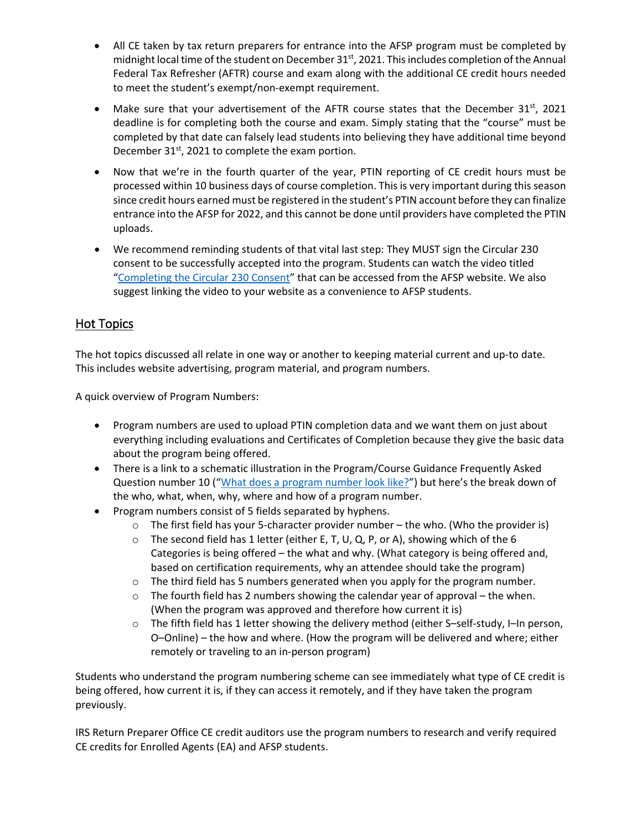- All CE taken by tax return preparers for entrance into the AFSP program must be completed by midnight local time of the student on December 31<sup>st</sup>, 2021. This includes completion of the Annual Federal Tax Refresher (AFTR) course and exam along with the additional CE credit hours needed to meet the student's exempt/non-exempt requirement.
- Make sure that your advertisement of the AFTR course states that the December 31st, 2021 deadline is for completing both the course and exam. Simply stating that the "course" must be completed by that date can falsely lead students into believing they have additional time beyond December  $31^{st}$ , 2021 to complete the exam portion.
- Now that we're in the fourth quarter of the year, PTIN reporting of CE credit hours must be processed within 10 business days of course completion. This is very important during this season since credit hours earned must be registered in the student's PTIN account before they can finalize entrance into the AFSP for 2022, and this cannot be done until providers have completed the PTIN uploads.
- We recommend reminding students of that vital last step: They MUST sign the Circular 230 consent to be successfully accepted into the program. Students can watch the video titled ["Completing the Circular 230 Consent"](https://www.youtube.com/watch?v=l6n_dAnQCn8&feature=emb_logo) that can be accessed from the AFSP website. We also suggest linking the video to your website as a convenience to AFSP students.

# Hot Topics

The hot topics discussed all relate in one way or another to keeping material current and up-to date. This includes website advertising, program material, and program numbers.

A quick overview of Program Numbers:

- Program numbers are used to upload PTIN completion data and we want them on just about everything including evaluations and Certificates of Completion because they give the basic data about the program being offered.
- There is a link to a schematic illustration in the Program/Course Guidance Frequently Asked Question number 10 (["What does a program number look like?"](https://www.irs.gov/pub/irs-utl/ce_provider_program_numbering_sequence.pdf)) but here's the break down of the who, what, when, why, where and how of a program number.
- Program numbers consist of 5 fields separated by hyphens.
	- $\circ$  The first field has your 5-character provider number the who. (Who the provider is)
	- $\circ$  The second field has 1 letter (either E, T, U, Q, P, or A), showing which of the 6 Categories is being offered – the what and why. (What category is being offered and, based on certification requirements, why an attendee should take the program)
	- o The third field has 5 numbers generated when you apply for the program number.
	- $\circ$  The fourth field has 2 numbers showing the calendar year of approval the when. (When the program was approved and therefore how current it is)
	- o The fifth field has 1 letter showing the delivery method (either S–self-study, I–In person, O–Online) – the how and where. (How the program will be delivered and where; either remotely or traveling to an in-person program)

Students who understand the program numbering scheme can see immediately what type of CE credit is being offered, how current it is, if they can access it remotely, and if they have taken the program previously.

IRS Return Preparer Office CE credit auditors use the program numbers to research and verify required CE credits for Enrolled Agents (EA) and AFSP students.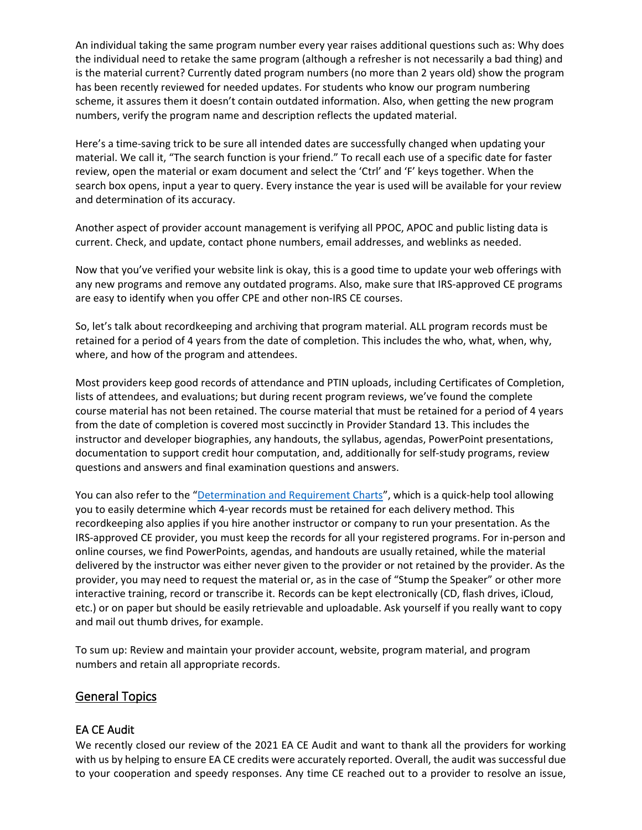An individual taking the same program number every year raises additional questions such as: Why does the individual need to retake the same program (although a refresher is not necessarily a bad thing) and is the material current? Currently dated program numbers (no more than 2 years old) show the program has been recently reviewed for needed updates. For students who know our program numbering scheme, it assures them it doesn't contain outdated information. Also, when getting the new program numbers, verify the program name and description reflects the updated material.

Here's a time-saving trick to be sure all intended dates are successfully changed when updating your material. We call it, "The search function is your friend." To recall each use of a specific date for faster review, open the material or exam document and select the 'Ctrl' and 'F' keys together. When the search box opens, input a year to query. Every instance the year is used will be available for your review and determination of its accuracy.

Another aspect of provider account management is verifying all PPOC, APOC and public listing data is current. Check, and update, contact phone numbers, email addresses, and weblinks as needed.

Now that you've verified your website link is okay, this is a good time to update your web offerings with any new programs and remove any outdated programs. Also, make sure that IRS-approved CE programs are easy to identify when you offer CPE and other non-IRS CE courses.

So, let's talk about recordkeeping and archiving that program material. ALL program records must be retained for a period of 4 years from the date of completion. This includes the who, what, when, why, where, and how of the program and attendees.

Most providers keep good records of attendance and PTIN uploads, including Certificates of Completion, lists of attendees, and evaluations; but during recent program reviews, we've found the complete course material has not been retained. The course material that must be retained for a period of 4 years from the date of completion is covered most succinctly in Provider Standard 13. This includes the instructor and developer biographies, any handouts, the syllabus, agendas, PowerPoint presentations, documentation to support credit hour computation, and, additionally for self-study programs, review questions and answers and final examination questions and answers.

You can also refer to the ["Determination and Requirement Charts"](https://www.irs.gov/pub/taxpros/delivery-method-determination-and-requirements-chart.pdf), which is a quick-help tool allowing you to easily determine which 4-year records must be retained for each delivery method. This recordkeeping also applies if you hire another instructor or company to run your presentation. As the IRS-approved CE provider, you must keep the records for all your registered programs. For in-person and online courses, we find PowerPoints, agendas, and handouts are usually retained, while the material delivered by the instructor was either never given to the provider or not retained by the provider. As the provider, you may need to request the material or, as in the case of "Stump the Speaker" or other more interactive training, record or transcribe it. Records can be kept electronically (CD, flash drives, iCloud, etc.) or on paper but should be easily retrievable and uploadable. Ask yourself if you really want to copy and mail out thumb drives, for example.

To sum up: Review and maintain your provider account, website, program material, and program numbers and retain all appropriate records.

### General Topics

### EA CE Audit

We recently closed our review of the 2021 EA CE Audit and want to thank all the providers for working with us by helping to ensure EA CE credits were accurately reported. Overall, the audit was successful due to your cooperation and speedy responses. Any time CE reached out to a provider to resolve an issue,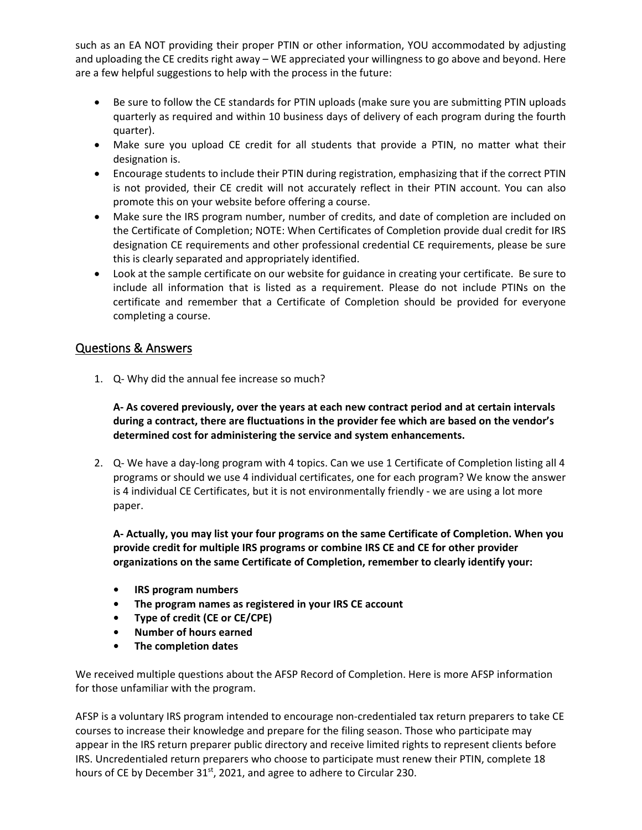such as an EA NOT providing their proper PTIN or other information, YOU accommodated by adjusting and uploading the CE credits right away – WE appreciated your willingness to go above and beyond. Here are a few helpful suggestions to help with the process in the future:

- Be sure to follow the CE standards for PTIN uploads (make sure you are submitting PTIN uploads quarterly as required and within 10 business days of delivery of each program during the fourth quarter).
- Make sure you upload CE credit for all students that provide a PTIN, no matter what their designation is.
- Encourage students to include their PTIN during registration, emphasizing that if the correct PTIN is not provided, their CE credit will not accurately reflect in their PTIN account. You can also promote this on your website before offering a course.
- Make sure the IRS program number, number of credits, and date of completion are included on the Certificate of Completion; NOTE: When Certificates of Completion provide dual credit for IRS designation CE requirements and other professional credential CE requirements, please be sure this is clearly separated and appropriately identified.
- Look at the sample certificate on our website for guidance in creating your certificate. Be sure to include all information that is listed as a requirement. Please do not include PTINs on the certificate and remember that a Certificate of Completion should be provided for everyone completing a course.

### Questions & Answers

1. Q- Why did the annual fee increase so much?

**A- As covered previously, over the years at each new contract period and at certain intervals during a contract, there are fluctuations in the provider fee which are based on the vendor's determined cost for administering the service and system enhancements.**

2. Q- We have a day-long program with 4 topics. Can we use 1 Certificate of Completion listing all 4 programs or should we use 4 individual certificates, one for each program? We know the answer is 4 individual CE Certificates, but it is not environmentally friendly - we are using a lot more paper.

**A- Actually, you may list your four programs on the same Certificate of Completion. When you provide credit for multiple IRS programs or combine IRS CE and CE for other provider organizations on the same Certificate of Completion, remember to clearly identify your:**

- **IRS program numbers**
- **The program names as registered in your IRS CE account**
- **Type of credit (CE or CE/CPE)**
- **Number of hours earned**
- **The completion dates**

We received multiple questions about the AFSP Record of Completion. Here is more AFSP information for those unfamiliar with the program.

AFSP is a voluntary IRS program intended to encourage non-credentialed tax return preparers to take CE courses to increase their knowledge and prepare for the filing season. Those who participate may appear in the IRS return preparer public directory and receive limited rights to represent clients before IRS. Uncredentialed return preparers who choose to participate must renew their PTIN, complete 18 hours of CE by December  $31<sup>st</sup>$ , 2021, and agree to adhere to Circular 230.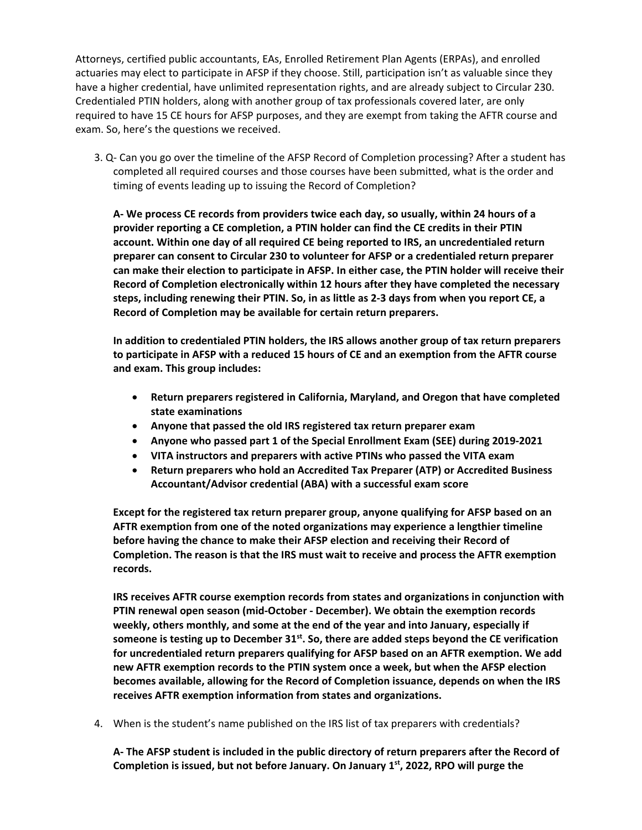Attorneys, certified public accountants, EAs, Enrolled Retirement Plan Agents (ERPAs), and enrolled actuaries may elect to participate in AFSP if they choose. Still, participation isn't as valuable since they have a higher credential, have unlimited representation rights, and are already subject to Circular 230. Credentialed PTIN holders, along with another group of tax professionals covered later, are only required to have 15 CE hours for AFSP purposes, and they are exempt from taking the AFTR course and exam. So, here's the questions we received.

3. Q- Can you go over the timeline of the AFSP Record of Completion processing? After a student has completed all required courses and those courses have been submitted, what is the order and timing of events leading up to issuing the Record of Completion?

**A- We process CE records from providers twice each day, so usually, within 24 hours of a provider reporting a CE completion, a PTIN holder can find the CE credits in their PTIN account. Within one day of all required CE being reported to IRS, an uncredentialed return preparer can consent to Circular 230 to volunteer for AFSP or a credentialed return preparer can make their election to participate in AFSP. In either case, the PTIN holder will receive their Record of Completion electronically within 12 hours after they have completed the necessary steps, including renewing their PTIN. So, in as little as 2-3 days from when you report CE, a Record of Completion may be available for certain return preparers.** 

**In addition to credentialed PTIN holders, the IRS allows another group of tax return preparers to participate in AFSP with a reduced 15 hours of CE and an exemption from the AFTR course and exam. This group includes:**

- **Return preparers registered in California, Maryland, and Oregon that have completed state examinations**
- **Anyone that passed the old IRS registered tax return preparer exam**
- **Anyone who passed part 1 of the Special Enrollment Exam (SEE) during 2019-2021**
- **VITA instructors and preparers with active PTINs who passed the VITA exam**
- **Return preparers who hold an Accredited Tax Preparer (ATP) or Accredited Business Accountant/Advisor credential (ABA) with a successful exam score**

**Except for the registered tax return preparer group, anyone qualifying for AFSP based on an AFTR exemption from one of the noted organizations may experience a lengthier timeline before having the chance to make their AFSP election and receiving their Record of Completion. The reason is that the IRS must wait to receive and process the AFTR exemption records.**

**IRS receives AFTR course exemption records from states and organizations in conjunction with PTIN renewal open season (mid-October - December). We obtain the exemption records weekly, others monthly, and some at the end of the year and into January, especially if**  someone is testing up to December 31<sup>st</sup>. So, there are added steps beyond the CE verification **for uncredentialed return preparers qualifying for AFSP based on an AFTR exemption. We add new AFTR exemption records to the PTIN system once a week, but when the AFSP election becomes available, allowing for the Record of Completion issuance, depends on when the IRS receives AFTR exemption information from states and organizations.**

4. When is the student's name published on the IRS list of tax preparers with credentials?

**A- The AFSP student is included in the public directory of return preparers after the Record of**  Completion is issued, but not before January. On January 1<sup>st</sup>, 2022, RPO will purge the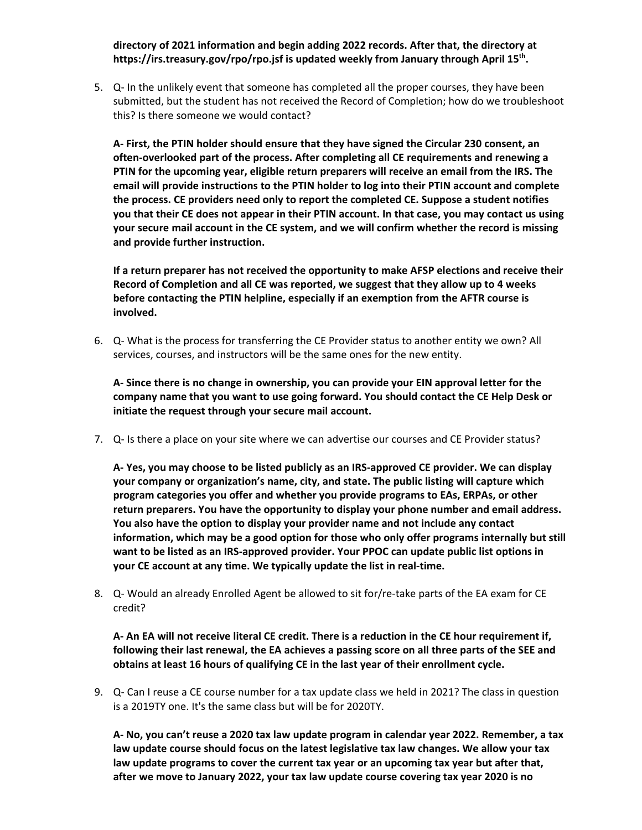#### **directory of 2021 information and begin adding 2022 records. After that, the directory at https://irs.treasury.gov/rpo/rpo.jsf is updated weekly from January through April 15th.**

5. Q- In the unlikely event that someone has completed all the proper courses, they have been submitted, but the student has not received the Record of Completion; how do we troubleshoot this? Is there someone we would contact?

**A- First, the PTIN holder should ensure that they have signed the Circular 230 consent, an often-overlooked part of the process. After completing all CE requirements and renewing a PTIN for the upcoming year, eligible return preparers will receive an email from the IRS. The email will provide instructions to the PTIN holder to log into their PTIN account and complete the process. CE providers need only to report the completed CE. Suppose a student notifies you that their CE does not appear in their PTIN account. In that case, you may contact us using your secure mail account in the CE system, and we will confirm whether the record is missing and provide further instruction.** 

**If a return preparer has not received the opportunity to make AFSP elections and receive their Record of Completion and all CE was reported, we suggest that they allow up to 4 weeks before contacting the PTIN helpline, especially if an exemption from the AFTR course is involved.** 

6. Q- What is the process for transferring the CE Provider status to another entity we own? All services, courses, and instructors will be the same ones for the new entity.

**A- Since there is no change in ownership, you can provide your EIN approval letter for the company name that you want to use going forward. You should contact the CE Help Desk or initiate the request through your secure mail account.** 

7. Q- Is there a place on your site where we can advertise our courses and CE Provider status?

**A- Yes, you may choose to be listed publicly as an IRS-approved CE provider. We can display your company or organization's name, city, and state. The public listing will capture which program categories you offer and whether you provide programs to EAs, ERPAs, or other return preparers. You have the opportunity to display your phone number and email address. You also have the option to display your provider name and not include any contact information, which may be a good option for those who only offer programs internally but still want to be listed as an IRS-approved provider. Your PPOC can update public list options in your CE account at any time. We typically update the list in real-time.**

8. Q- Would an already Enrolled Agent be allowed to sit for/re-take parts of the EA exam for CE credit?

**A- An EA will not receive literal CE credit. There is a reduction in the CE hour requirement if, following their last renewal, the EA achieves a passing score on all three parts of the SEE and obtains at least 16 hours of qualifying CE in the last year of their enrollment cycle.**

9. Q- Can I reuse a CE course number for a tax update class we held in 2021? The class in question is a 2019TY one. It's the same class but will be for 2020TY.

**A- No, you can't reuse a 2020 tax law update program in calendar year 2022. Remember, a tax law update course should focus on the latest legislative tax law changes. We allow your tax law update programs to cover the current tax year or an upcoming tax year but after that, after we move to January 2022, your tax law update course covering tax year 2020 is no**